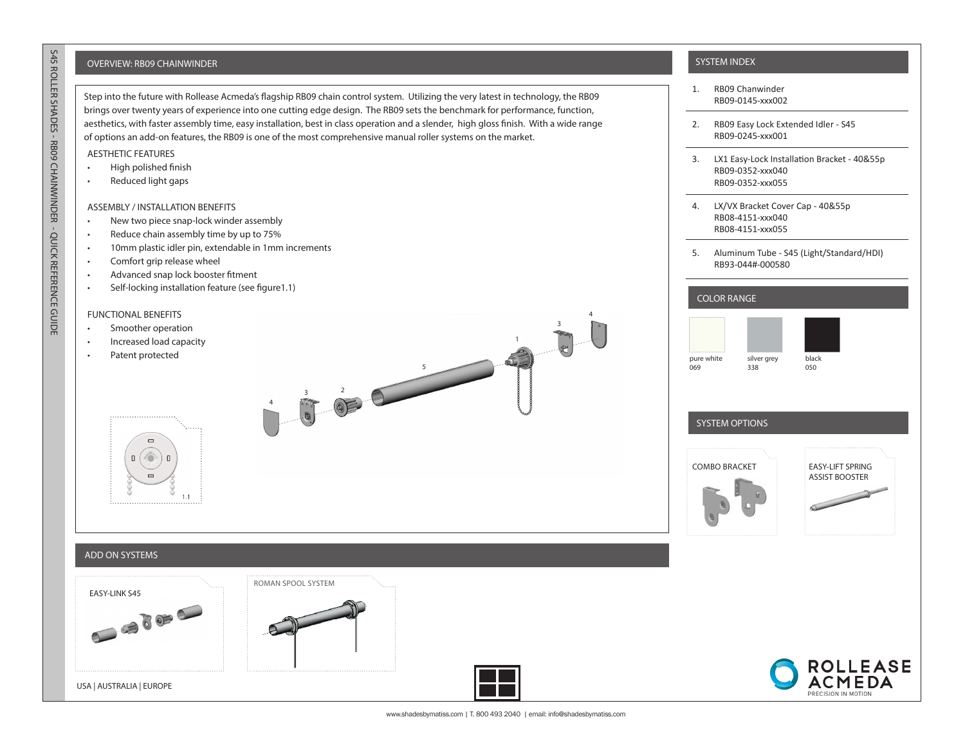# OVERVIEW: RB09 CHAINWINDER SYSTEM INDEX AND THE SYSTEM INDEX AND THE SYSTEM INDEX AND THE SYSTEM INDEX AND THE SYSTEM INDEX

Step into the future with Rollease Acmeda's flagship RB09 chain control system. Utilizing the very latest in technology, the RB09 brings over twenty years of experience into one cutting edge design. The RB09 sets the benchmark for performance, function, aesthetics, with faster assembly time, easy installation, best in class operation and a slender, high gloss finish. With a wide range of options an add-on features, the RB09 is one of the most comprehensive manual roller systems on the market.

## AESTHETIC FEATURES

- High polished finish
- Reduced light gaps

## ASSEMBLY / INSTALLATION BENEFITS

- New two piece snap-lock winder assembly
- Reduce chain assembly time by up to 75%
- 10mm plastic idler pin, extendable in 1mm increments
- Comfort grip release wheel
- Advanced snap lock booster fitment
- Self-locking installation feature (see figure1.1)

## FUNCTIONAL BENEFITS

- Smoother operation
- Increased load capacity
- Patent protected





- 1. RB09 Chanwinder RB09-0145-xxx002
- 2. RB09 Easy Lock Extended Idler S45 RB09-0245-xxx001
- 3. LX1 Easy-Lock Installation Bracket 40&55p RB09-0352-xxx040 RB09-0352-xxx055
- 4. LX/VX Bracket Cover Cap 40&55p RB08-4151-xxx040 RB08-4151-xxx055
- 5. Aluminum Tube S45 (Light/Standard/HDI) RB93-044#-000580

## COLOR RANGE





# SYSTEM OPTIONS





## ADD ON SYSTEMS

USA | AUSTRALIA | EUROPE









www.shadesbymatiss.com | T. 800 493 2040 | email: info@shadesbymatiss.com